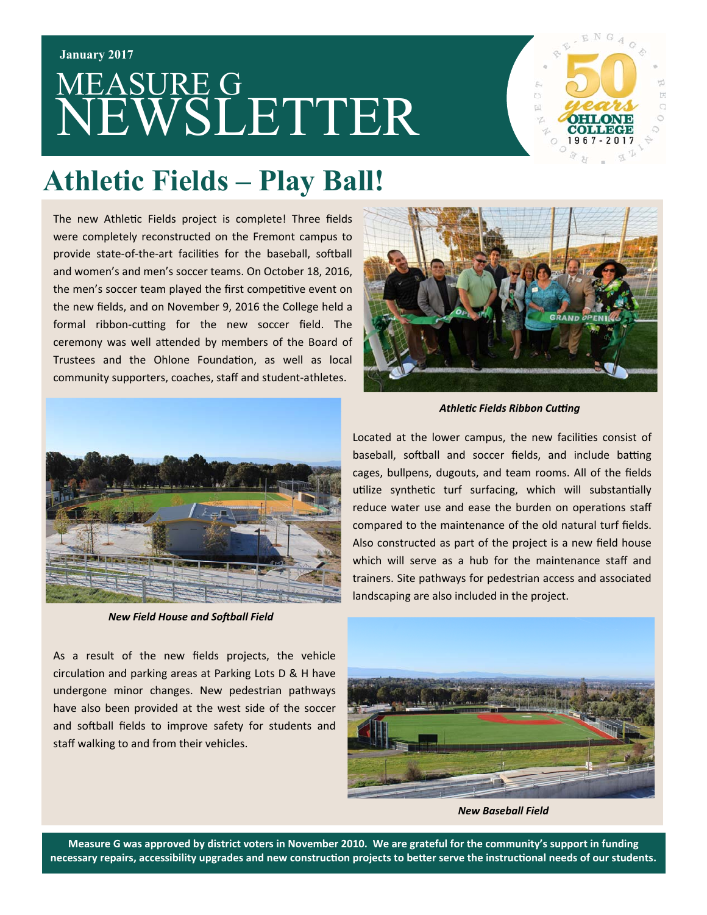#### **January 2017**

# MEASURE G NEWSLETTER



#### **Athletic Fields – Play Ball!**

The new Athletic Fields project is complete! Three fields were completely reconstructed on the Fremont campus to provide state-of-the-art facilities for the baseball, softball and women's and men's soccer teams. On October 18, 2016, the men's soccer team played the first competitive event on the new fields, and on November 9, 2016 the College held a formal ribbon-cutting for the new soccer field. The ceremony was well attended by members of the Board of Trustees and the Ohlone Foundation, as well as local community supporters, coaches, staff and student‐athletes.



**New Field House and Softball Field** 

As a result of the new fields projects, the vehicle circulation and parking areas at Parking Lots D & H have undergone minor changes. New pedestrian pathways have also been provided at the west side of the soccer and softball fields to improve safety for students and staff walking to and from their vehicles.



*AthleƟc Fields Ribbon Cuƫng* 

Located at the lower campus, the new facilities consist of baseball, softball and soccer fields, and include batting cages, bullpens, dugouts, and team rooms. All of the fields utilize synthetic turf surfacing, which will substantially reduce water use and ease the burden on operations staff compared to the maintenance of the old natural turf fields. Also constructed as part of the project is a new field house which will serve as a hub for the maintenance staff and trainers. Site pathways for pedestrian access and associated landscaping are also included in the project.



*New Baseball Field* 

**Measure G was approved by district voters in November 2010. We are grateful for the community's support in funding**  necessary repairs, accessibility upgrades and new construction projects to better serve the instructional needs of our students.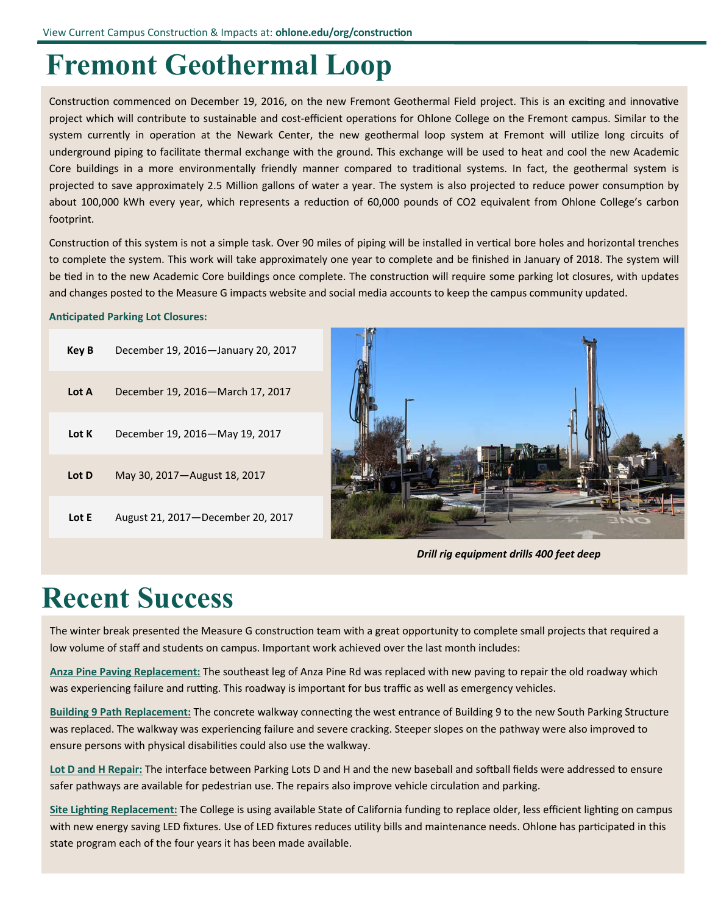### **Fremont Geothermal Loop**

Construction commenced on December 19, 2016, on the new Fremont Geothermal Field project. This is an exciting and innovative project which will contribute to sustainable and cost-efficient operations for Ohlone College on the Fremont campus. Similar to the system currently in operation at the Newark Center, the new geothermal loop system at Fremont will utilize long circuits of underground piping to facilitate thermal exchange with the ground. This exchange will be used to heat and cool the new Academic Core buildings in a more environmentally friendly manner compared to traditional systems. In fact, the geothermal system is projected to save approximately 2.5 Million gallons of water a year. The system is also projected to reduce power consumption by about 100,000 kWh every year, which represents a reduction of 60,000 pounds of CO2 equivalent from Ohlone College's carbon footprint.

Construction of this system is not a simple task. Over 90 miles of piping will be installed in vertical bore holes and horizontal trenches to complete the system. This work will take approximately one year to complete and be finished in January of 2018. The system will be tied in to the new Academic Core buildings once complete. The construction will require some parking lot closures, with updates and changes posted to the Measure G impacts website and social media accounts to keep the campus community updated.

#### **Anticipated Parking Lot Closures:**

| Key B | December 19, 2016-January 20, 2017  |
|-------|-------------------------------------|
| Lot A | December 19, 2016–March 17, 2017    |
| Lot K | December 19, 2016-May 19, 2017      |
| Lot D | May 30, 2017 — August 18, 2017      |
| Lot E | August 21, 2017 – December 20, 2017 |



*Drill rig equipment drills 400 feet deep* 

### **Recent Success**

The winter break presented the Measure G construction team with a great opportunity to complete small projects that required a low volume of staff and students on campus. Important work achieved over the last month includes:

**Anza Pine Paving Replacement:** The southeast leg of Anza Pine Rd was replaced with new paving to repair the old roadway which was experiencing failure and rutting. This roadway is important for bus traffic as well as emergency vehicles.

Building 9 Path Replacement: The concrete walkway connecting the west entrance of Building 9 to the new South Parking Structure was replaced. The walkway was experiencing failure and severe cracking. Steeper slopes on the pathway were also improved to ensure persons with physical disabilities could also use the walkway.

Lot D and H Repair: The interface between Parking Lots D and H and the new baseball and softball fields were addressed to ensure safer pathways are available for pedestrian use. The repairs also improve vehicle circulation and parking.

Site Lighting Replacement: The College is using available State of California funding to replace older, less efficient lighting on campus with new energy saving LED fixtures. Use of LED fixtures reduces utility bills and maintenance needs. Ohlone has participated in this state program each of the four years it has been made available.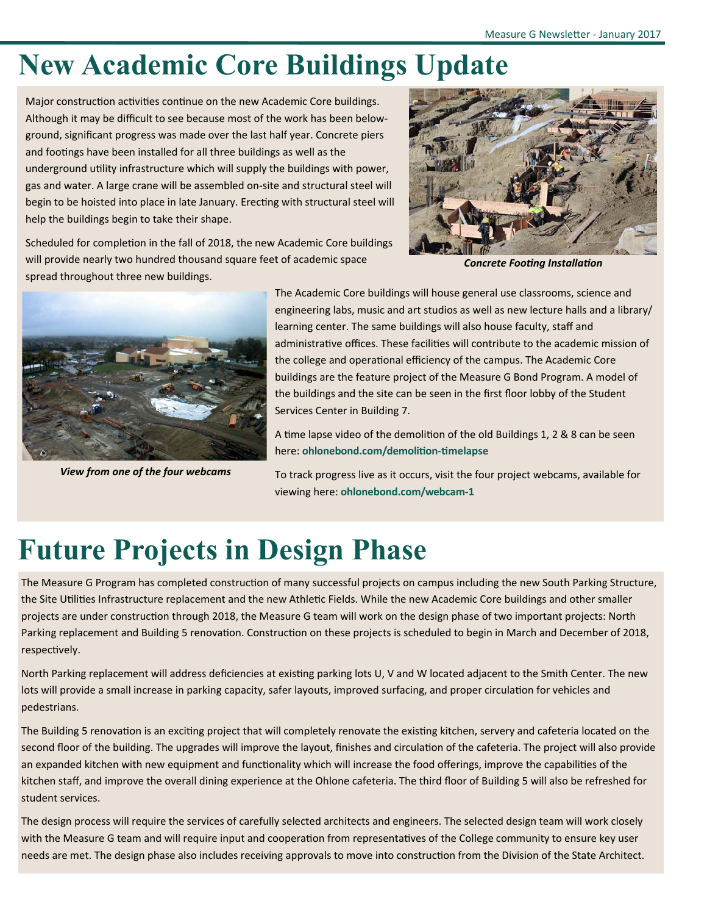### **New Academic Core Buildings Update**

Major construction activities continue on the new Academic Core buildings. Although it may be difficult to see because most of the work has been below‐ ground, significant progress was made over the last half year. Concrete piers and footings have been installed for all three buildings as well as the underground utility infrastructure which will supply the buildings with power, gas and water. A large crane will be assembled on‐site and structural steel will begin to be hoisted into place in late January. Erecting with structural steel will help the buildings begin to take their shape.



Scheduled for completion in the fall of 2018, the new Academic Core buildings will provide nearly two hundred thousand square feet of academic space spread throughout three new buildings.

*Concrete FooƟng InstallaƟon* 



*View from one of the four webcams* 

The Academic Core buildings will house general use classrooms, science and engineering labs, music and art studios as well as new lecture halls and a library/ learning center. The same buildings will also house faculty, staff and administrative offices. These facilities will contribute to the academic mission of the college and operational efficiency of the campus. The Academic Core buildings are the feature project of the Measure G Bond Program. A model of the buildings and the site can be seen in the first floor lobby of the Student Services Center in Building 7.

A time lapse video of the demolition of the old Buildings 1, 2 & 8 can be seen here: ohlonebond.com/demolition-timelapse

To track progress live as it occurs, visit the four project webcams, available for viewing here: **ohlonebond.com/webcam‐1**

## **Future Projects in Design Phase**

The Measure G Program has completed construction of many successful projects on campus including the new South Parking Structure, the Site Utilities Infrastructure replacement and the new Athletic Fields. While the new Academic Core buildings and other smaller projects are under construction through 2018, the Measure G team will work on the design phase of two important projects: North Parking replacement and Building 5 renovation. Construction on these projects is scheduled to begin in March and December of 2018, respectively.

North Parking replacement will address deficiencies at existing parking lots U, V and W located adjacent to the Smith Center. The new lots will provide a small increase in parking capacity, safer layouts, improved surfacing, and proper circulation for vehicles and pedestrians.

The Building 5 renovation is an exciting project that will completely renovate the existing kitchen, servery and cafeteria located on the second floor of the building. The upgrades will improve the layout, finishes and circulation of the cafeteria. The project will also provide an expanded kitchen with new equipment and functionality which will increase the food offerings, improve the capabilities of the kitchen staff, and improve the overall dining experience at the Ohlone cafeteria. The third floor of Building 5 will also be refreshed for student services.

The design process will require the services of carefully selected architects and engineers. The selected design team will work closely with the Measure G team and will require input and cooperation from representatives of the College community to ensure key user needs are met. The design phase also includes receiving approvals to move into construction from the Division of the State Architect.